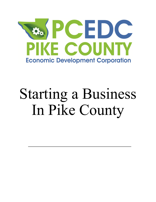

# Starting a Business In Pike County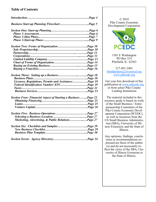## **Table of Contents**

| <b>Business Start-up Planning Flowchart Page 5</b>                  |  |
|---------------------------------------------------------------------|--|
|                                                                     |  |
|                                                                     |  |
|                                                                     |  |
|                                                                     |  |
|                                                                     |  |
|                                                                     |  |
|                                                                     |  |
|                                                                     |  |
|                                                                     |  |
|                                                                     |  |
|                                                                     |  |
|                                                                     |  |
|                                                                     |  |
|                                                                     |  |
| Licenses, Regulations, Permits and Assistance Page 19               |  |
| Federal Identification Number/EINPage 19                            |  |
|                                                                     |  |
|                                                                     |  |
| <b>Section Four: Financial Aspect of Starting a BusinessPage 25</b> |  |
|                                                                     |  |
|                                                                     |  |
|                                                                     |  |
|                                                                     |  |
|                                                                     |  |
| Marketing, Advertising, & Public RelationsPage 27                   |  |
|                                                                     |  |
|                                                                     |  |
|                                                                     |  |
|                                                                     |  |

© 2018 Pike County Economic Development Corporation



1301 E Washington PO Box 214 Pittsfield, IL 62363

217-491-2401 [bmiddendor@2riversrcd.org](mailto:gsheurman@pikeedc.org) [www.pikeedc.org](http://www.pikeedc.org)

Get your free download of this publication at [www.pikeedc.org](http://www.pikeedc.org) or from select Pike County Lending Institutions

The material included in this resource guide is based on work of the Small Business / Entrepreneurship Committee of the Pike County Economic Development Corporation (PCEDC), as well as resources from the US Small Business Administration (SBA), University of Illinois Extension, and the State of Illinois.

Any opinions, findings, conclusions or recommendations expressed are those of the author (s) and do not necessarily reflect the views of the SBA, University of Illinois Extension or the State of Illinois.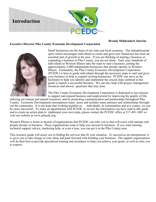

#### **Brenda Middendorf, Interim**

#### **Executive Director-Pike County Economic Development Corporation**



Small businesses are the heart of our state and local economy. The entrepreneurial spirit which encourages individuals to create and grow new businesses has been an essential part of growth in the area. If you are thinking of starting a business or expanding a business in Pike County, you are not alone. Each year, hundreds of individuals in Western Illinois take the steps to start a business, joining the approximately 5,000 independent businesses that already operate in Western Illinois. Fortunately, the Pike County Economic Development Corporation (PCEDC) is here to guide individuals through the necessary steps to start and grow your business or help to expand existing businesses. PCEDC can serve as the facilitator to help you identify and implement the crucial steps outlined in this guide to launch a successful business. We can also help with project management resources and answer questions that may arise.

The Pike County Economic Development Corporation is dedicated to our mission to support and expand business and employment by improving the quality of life,

utilizing our human and natural resources, and by promoting communication and partnerships throughout Pike County. Economic Development encompasses many areas and includes many partners and relationships throughout the community. It is our hope that working together as individuals, as communities and as a county, we can be more successful. To make an appointment with PCEDC to review the information you have read in this guide and to create an action plan to implement your next steps, please contact the PCEDC office at 217-491-2401 or visit our website at www.pikeedc.org.

Western Illinois is home to dozens of organizations that PCEDC can refer you to that will assist with startups and people already in business. These organizations want to help you succeed in business. If you want training, technical support, advice, marketing help, or even a loan, you can get it in the Pike County area.

This resource guide will assist you in finding the services that fit your situation. To succeed as an entrepreneur, it is up to you to take charge of your ideas and push forward with building your business. The support organizations will do their best to provide specialized training and assistance to help you achieve your goals, as well as refer you to experts.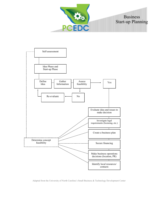



Adapted from the University of North Carolina's Small Business & Technology Development Center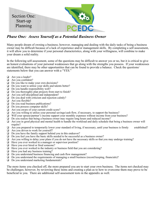

# *Phase One: Assess Yourself as a Potential Business Owner*

Many people dream of owning a business; however, managing and dealing with the daily tasks of being a business owner may be difficult because of a lack of experience and/or management skills. By completing a self assessment, it will allow you to determine if your personal characteristics, along with your willingness, will combine to make your dream a solid reality.

In the following self-assessment, some of the questions may be difficult to answer yes or no, but it is critical to give an honest evaluations of your personal weaknesses that go along with the strengths you possess. If your weaknesses are identified, there may be other opportunities that can be found to provide a balance. Check the questions/ statements below that you can answer with a "YES."

- ❑ Are you a leader?
- ❑ Are you confident?
- ❑ Do you like to make your own decisions?
- ❑ Do you want to utilize your skills and talents better?
- ❑ Do you handle responsibility well?
- ❑ Do you thoroughly plan projects from start to finish?
- ❑ Are you self-disciplined and independent?
- ❑ Do you deal with criticism and rejection calmly?
- ❑ Are you flexible?
- ❑ Do you read business publications?
- ❑ Do you possess computer skills?
- ❑ Are you aware of your current credit score?
- ❑ Are you willing to utilize your personal savings/cash flow, if necessary, to support the business?
- ❑ Will your spouse/partner's income support your monthly expenses without income from your business?
- ❑ Do you realize that being a business owner may require long hours and reduced income?
- ❑ Are you in good physical and mental health to handle the workload and daily schedule that being a business owner will require?
- ❑ Are you prepared to temporarily lower your standard of living, if necessary, until your business is firmly established?
- ❑ Are you driven to work for yourself?
- ❑ Do you have the family support behind you in this endeavor?
- ❑ Do you feel you have the basic skills needed to be successful as a business owner?
- ❑ Are you willing to delay your plans if you do not have the necessary skills so that you may undergo training?
- ❑ Have you ever worked in a manager or supervisor position?
- ❑ Have you ever hired or fired someone?
- ❑ Have you ever worked in the industry or business field that you are considering?
- ❑ Have you had any business training?
- ❑ Do you understand business financing and cash flow management?
- ❑ Do you understand the requirements of managing a small business (record keeping, financials)?
- ❑ Do you understand marketing fundamentals?

The more items you checked off, the more prepared you are to start your own business. The items not checked may be challenges; however, by reviewing these items and creating a plan as to how to overcome them may prove to be beneficial to you. There are additional self-assessment tests in the appendix as well.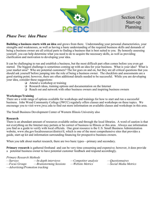

# *Phase Two: Idea Phase*

**Building a business starts with an idea** and grows from there. Understanding your personal characteristics, your strengths and weaknesses, as well as having a basic understanding of the required business skills and demands of being a business owner are all critical parts to finding a business that is best suited to you. By honestly assessing yourself, you can help determine what you need to do to acquire the necessary skills, as well as providing clarification and motivation to developing your idea.

It can be challenging to run and establish a business, but the most difficult part often comes before you even get started. The biggest challenge is sometimes coming up with an idea for your business. What is your idea? What is your market area? Who are potential customers? The list goes on and on, but they are all critical questions that you should ask yourself before jumping into the role of being a business owner. The checklists and assessments are a good starting point; however, there are often additional details needed to be successful. While you are developing your idea, consider these suggestions:

- ❑ Attend a workshop or training
- ❑ Research ideas, training options and documentation on the Internet
- ❑ Reach out and network with other business owners and inspiring business owners

#### **Workshops/Training**

There are a wide range of options available for workshops and trainings for how to start and run a successful business. John Wood Community College (JWCC) regularly offers classes and workshops on these topics. We encourage you to visit www.jwcc.edu to find out more information on available classes and workshops in this area.

The Small Business Development Center of Western Illinois University also

#### **Research**

There is an abundant amount of resources available online and through the local libraries. A word of caution is that not everything on the Internet may pertain or be correct of business in Illinois or this area. Always use information you find as a guide to verify with local officials. One great resource is the U.S. Small Business Administration website, www.sba.gov/localresources/district/il, which is one of the most comprehensive sites that provides a guide, start-up kit and information surrounding financing for prospective business owners.

When you talk about market research, there are two basic types—primary and secondary.

**Primary research** is gathered firsthand and can be very time consuming and expensive; however, it does provide a potential business owner to have potential customer feedback and respond accordingly.

#### *Primary Research Methods*

*—Surveys —In-depth interviews —Competitor analysis —Questionnaires*  $-Perainstorming Sessions$  *—Website Metrics —Advertising/Promotion tracking*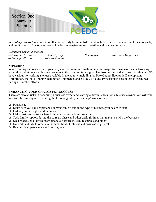

*Secondary research* is information that has already been published and includes sources such as directories, journals, and publications. This type of research is less expensive, more accessible and can be continuous.

*Secondary research sources*

**—***Business directories —Industry reports —Newspapers —-Business Magazines*  $-$ *Trade publications* 

#### **Networking**

While training and research are great ways to find more information on your prospective business idea, networking with other individuals and business owners in the community is a great hands-on resource that is truly invaluable. We have various networking avenues available in the county, including the Pike County Economic Development Corporation, the Pike County Chamber of Commerce, and YPike!, a Young Professionals Group that is organized through Chamber efforts.

#### **ENHANCING YOUR CHANCE FOR SUCCESS**

There are always risks in becoming a business owner and starting a new business. As a business owner, you will want to lower the risks by incorporating the following into your start-up/business plan:

- ❑ Plan ahead
- ❑ Make sure you have experience in management and in the type of business you desire to start
- ❑ Utilize your strengths and interests
- ❑ Make business decisions based on facts and reliable information
- ❑ Seek family support during the start-up phase and other difficult times that may arise with the business
- ❑ Seek professional advice from financial resources, legal resources and others
- ❑ Network and talk to others in the same field of interest and business in general
- ❑ Be confident, persistence and don't give up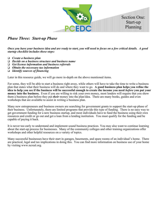

# *Phase Three: Start-up Phase*

*Once you have your business idea and are ready to start, you will need to focus on a few critical details. A good startup checklist includes these steps:*

- ❑ *Create a business plan*
- ❑ *Decide on a business structure and business name*
- ❑ *Get license information and business referrals*
- ❑ *Obtain the necessary tax information*
- ❑ *Identify sources of financing*

Later in this resource guide, we will go more in-depth on the above mentioned items.

For some, they will be able to start a business right away, while others will have to take the time to write a business plan that states what their business will do and where they want to go. **A good business plan helps you refine the idea to help you see if the business will be successful enough to create the income you need** *before* **you put your money into the business.** Even if you are willing to risk your own money, most lenders will require that you show them a business plan before they put *their* money into the plan/idea. There are many books, guides and even workshops that are available to assist in writing a business plan.

Many new entrepreneurs and business owners are searching for government grants to support the start-up phase of their business. Unfortunately, there are limited programs that provide this type of funding. There is no easy way to get government funding for a new business startup, and most individuals have to fund the business using their own resources and credit or go out and get a loan from a lending institution. You must qualify for the funding and be capable of paying it back.

It is never too early to understand and implement sound business practices. You may also want to continue learning about the start-up process for businesses. Many of the community colleges and other training organizations offer workshops and other helpful resources on a variety of topics.

Many successful businesses have their start in garages, basements, and spare rooms of an individual's home. There are practical, legal and tax implications in doing this. You can find more information on business use of your home by visiting www.ncreal.org.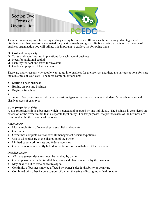

There are several options to starting and organizing businesses in Illinois, each one having advantages and disadvantages that need to be evaluated for practical needs and goals. Before making a decision on the type of business organization you will utilize, it is important to explore the following items:

- ❑ Cost and complexity
- $\Box$  Taxes and securities law implications for each type of business
- ❑ Need for additional capital
- ❑ Liability for debt and taxes for investors
- ❑ Goals and purpose of the business

There are many reasons why people want to go into business for themselves, and there are various options for starting a business of your own. The most common options are:

- Starting a new business
- Buying an existing business
- Buying a franchise

•

In the next few pages, we will discuss the various types of business structures and identify the advantages and disadvantages of each type.

#### **Sole proprietorship**

A sole proprietorship is a business which is owned and operated by one individual. The business is considered an extension of the owner rather than a separate legal entity. For tax purposes, the profits/losses of the business are combined with other income of the owner.

*Advantages:*

- Most simple form of ownership to establish and operate
- One owner
- Owner has complete control over all management decisions/policies
- Use of all profits are at the discretion of the owner
- Limited paperwork to state and federal agencies
- Owner's income is directly linked to the failure success/failure of the business

#### *Disadvantages:*

- All management decisions must be handled by owner
- Owner personally liable for all debts, taxes and claims incurred by the business
- May be difficult to raise or secure capital
- Continuity of business may be affected by owner's death, disability or departure
- Combined with other income sources of owner, therefore affecting individual tax rate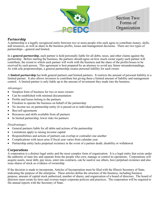

## **Partnership**

A partnership is a legally recognized entity between two or more people who each agree to contribute money, skills, and resources, as well as share in the business profits, losses and management decisions. There are two types of partnerships—general and limited.

In a **general partnership**, each partner is held personally liable for all debts, taxes, and other claims against the partnership. Before starting the business, the partners should agree on how much owner equity each partner will contribute, the extent to which each partner will work with the business and the share of the profits/losses to be received by each person. This agreement is best prepared by an attorney to avoid any future misunderstandings. As with sole proprietorships, a general partnership creates personal liability for each owner.

A **limited partnership** has both general partners and limited partners. It restricts the amount of personal liability to a limited partner. It also allows investors to contribute but giving them a limited amount of liability and management control. A limited partner is only liable up to the amount of investment they made into the business.

#### *Advantages:*

- Simplest form of business for two or more owners
- Can be established with minimal documentation
- Profits and losses belong to the partners
- Freedom to operate the business on behalf of the partnership
- No income tax on partnership entity (it is passed on to individual partners)
- Buy/sell agreements
- Resources and skills available from all partners
- In limited partnership, lower risks for partners

#### *Disadvantages:*

- General partners liable for all debts and actions of the partnership
- Limitations apply to raising investor capital
- Responsibilities and actions of partners can overlap or contradict one another
- Complications with taxes arise if fiscal year varies from calendar year
- Partnership entity lacks perpetual existence in the event of a partner death, disability or withdrawal

#### **Corporations**

A corporation is a distinct legal entity and the most complex form of organization. It is a legal entity that exists under the authority of state law and separate from the people who own, manage or control its operations. Corporations will acquire assets, incur debt, pay taxes, enter into contracts, can be sued/or sue others, have perpetual existence and also issue shares of stock as evidence of ownership.

If the decision is made to incorporate, Articles of Incorporation must be filed with the Illinois Secretary of State, indicating the purpose of the enterprise. These articles define the structure of the business, including business purpose, amount of capital stock authorized, number of shares, and organization of a board of directors. The board of directors must create by-laws and oversee major corporate policies and practices. The corporation will be required to file annual reports with the Secretary of State.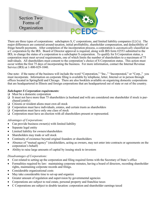

There are three types of corporations: subchapters S, C corporations, and limited liability companies (LLCs). The major differences are centered around taxation, initial profitability, shareholder compensation, and deductibility of fringe benefit payments. After completion of the incorporation process, a corporation is *automatically* classified as a C corporation by the IRS. Board of Director approval is required, along with IRS form #2553 submitted to the IRS, to change the status of a corporation to a subchapter S corporation. To qualify for S Corporation status, a corporation must meet several requirements, one of which limits the number of shareholders to a maximum of 75 individuals. All shareholders must consent to the corporation's choice of S Corporation status. This action must occur within the first 75 days of incorporating the business. For more information, contact the Internal Revenue Service (IRS) at 1-800-829-1040.

One note: if the name of the business will include the word "Corporation," "Inc.," "Incorporated," or "Corp.," you must incorporate. Information on corporate filing is available by telephone, letter, Internet or in person through offices located in Springfield and Chicago. There are also booklets available on organizing domestic corporations that are headquartered in Illinois and foreign corporations that are headquartered out of state or out of the country.

#### *Subchapter S Corporation requirements:*

- ❑ Must be a domestic corporation
- ❑ It must not have more than 75 shareholders (a husband and wife are considered one shareholder if stock is purchased jointly)
- ❑ Citizens or resident aliens must own all stock
- ❑ Corporation must have individuals, estates, and certain trusts as shareholders
- ❑ Corporation must have only one class of stock
- ❑ Corporation must have an election with all shareholders present or represented.

#### *Advantages of Corporations:*

- Can provide business owner(s) with limited liability
- Separate legal entity
- Limited liability for owners/shareholders
- Shareholders may trade or sell stock
- Continuity of existence beyond original founders or shareholders
- Absence of "mutual agency" (stockholders, acting as owners, may not enter into contracts or agreements on the corporation's behalf)
- Ability to raise large amounts of capital by issuing stock to investors

#### *Disadvantages of Corporations:*

- Cost related to setting up the corporation and filing required forms with the Secretary of State's office
- Formalities required by law: maintaining corporate minutes, having a board of directors, recording shareholder rights, maintaining corporate records and filings.
- Considerable organizational costs
- May take considerable time to set-up and organize
- Greater amount of regulation and supervision by governmental agencies
- Corporations are subject to real estate, personal property and franchise taxes
- C Corporations are subject to double taxation: corporation and shareholder earnings taxed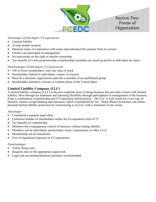

#### *Advantages of Subchapter S Corporations:*

- Limited liability
- Avoids double taxation
- Maintain status of corporation with assets and unlimited life separate from its owners
- Owners can participate in management
- No restrictions on the right to transfer ownership
- Tax benefits of a sole proprietorship or partnership (members are taxed on profits at individual tax rates)

#### *Disadvantages of Subchapter S Corporations:*

- 100 or fewer stockholders; only one class of stock
- Stockholders limited to individuals, estates, or trustees
- Must be a domestic organization and note a member of an unaffiliated group
- Stockholders limited to citizens or resident aliens of the United States

## **Limited Liability Company (LLC)**

A limited liability company (LLC) is the non-corporate form of doing business that provides owners with limited liability, flow-through tax treatment and operating flexibility through participation in management of the business. It has a combination of partnership and S Corporation characteristics. The LLC is well suited for every type of business venture except banking and insurance, which is prohibited by law. Many Illinois businesses can obtain personal limited liability protection by restructuring as an LLC with a minimum of one owner.

#### *Advantages:*

- Considered a separate legal entity
- Unlimited number of shareholders unlike the S-corporation limit of 75
- Tax benefits of a partnership
- Members have management control of business without risking liability
- Members can be individuals, partnerships, trusts, corporations, or other LLCs
- Membership can be transferred
- Free of regulations imposed on S Corporations

#### *Disadvantages:*

- Yearly filing costs
- Requires time to file appropriate paperwork
- Legal and accounting/financial assistance recommended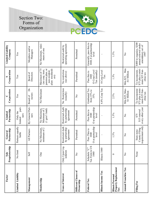

| Factor                                                                               | Proprietorship<br><b>Sole</b>          | Partnership<br>General                            | Partnership<br>Limited                                          | Corporation<br>$\cup$                                              | Corporation<br>S                                                                                  | Limited Liability<br>Company                                                  |
|--------------------------------------------------------------------------------------|----------------------------------------|---------------------------------------------------|-----------------------------------------------------------------|--------------------------------------------------------------------|---------------------------------------------------------------------------------------------------|-------------------------------------------------------------------------------|
| Limited Liability                                                                    | No limit                               | Partners equally<br>liable                        | part-<br>Only the<br>ners<br>limited                            | Yes                                                                | Yes                                                                                               | Yes                                                                           |
| Management                                                                           | Self                                   | All Partners                                      | By General Part-<br>ners                                        | ä<br>rectors<br>Board of                                           | Directors<br>Board of                                                                             | Members and/or<br>Managers                                                    |
| Membership                                                                           | One                                    | No Maximum,<br>minimum of 2                       | No Maximum,<br>Minimum of 2<br>$(1 \text{ gen}/1 \text{ lmtd})$ | No Maximum                                                         | alien stockhold-<br>Maximum of 75<br>pension plan, or<br>(no corp, trust,<br>non-resident<br>ers) | No Maximum, mini-<br>mum of one                                               |
| <b>Trans of Interest</b>                                                             | Upon Liq-<br>uidation<br>Only          | Restricted-Auth<br>by partnership<br>agreement    | Restricted-Auth<br>by partnership<br>agreement                  | No Restriction<br>(usually)                                        | No restriction<br>(see above)                                                                     | operating agreement<br>Restricted-auth by                                     |
| Different Classes of<br>Ownership                                                    | $\mathsf{S}^{\mathsf{o}}$              | Permitted                                         | Permitted                                                       | $\mathsf{\Sigma}^\mathsf{o}$                                       | Permitted                                                                                         | Permitted                                                                     |
| Federal Tax                                                                          | Schedule "C"<br>Tax Form to US<br>1040 | O at partnership<br>Pass Thru to<br>1040<br>level | O at partnership<br>Pass thru to<br>1040<br>level               | Graduated Tax<br>from $15%$ to<br>35%                              | O Corp Level<br>Tax (usually)<br>Pass thru to<br>1040                                             | Generally, pass thru to<br>1040, 0 at partnership<br>level                    |
| <b>Illinois Income Tax</b>                                                           | Illinois 1040                          |                                                   |                                                                 | 4.8% Corp Tax                                                      | 0 Corp Level<br>Tax                                                                               |                                                                               |
| <b>Property Replacement</b><br>Illinois Personal<br>$\mathbf{T}\mathbf{a}\mathbf{x}$ | $\circ$                                | 1.5%                                              | 1.5%                                                            | 2.5%                                                               | 1.5%                                                                                              | 1.5%                                                                          |
| <b>Annual Franchise Tax</b>                                                          | $\mathsf{S}^{\mathsf{o}}$              | $\frac{1}{2}$                                     | $\frac{1}{2}$                                                   | Min-\$25, Max-<br>\$1 Million                                      | Max<br>-\$1 Million<br>Min-\$25,                                                                  | $\frac{1}{2}$                                                                 |
| Filing Fee                                                                           | None                                   | County Filing<br>requirement only<br>State-none   | every other year<br>\$15 renewal<br>\$75                        | \$75 plus a mini-<br>mum \$25 fran-<br>To incorporate<br>chise tax | \$75 plus a mini-<br>mum \$25 fran-<br>To incorporate<br>chise tax                                | \$400 to organize, \$200<br>annual renewal under<br>amendatory act of<br>1997 |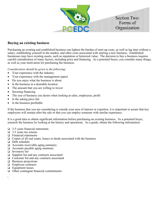

## **Buying an existing business**

Purchasing an existing and established business can lighten the burden of start-up costs, as well as lag time without a salary, establishing yourself in the market, and other costs associated with starting a new business. Established businesses may have existing assets, such as reputation or historical value. The decision to buy a business requires careful consideration of many factors, including price and financing. As a potential buyer, you consider many things, as well as your motivation for purchasing the business.

*Consideration should be given to the following:*

- Your experience with the industry
- Your experience with the management aspect
- Do you enjoy what the business is about
- Is the business in a desirable location
- The amount that you are willing to invest
- Securing financing
- The size of business you desire when looking at sales, employees, profit
- Is the asking price fair
- Is the business profitable

If the business that you are considering is outside your area of interest or expertise, it is important to assure that key employees will remain after the sale or that you can employ someone with similar experience.

It is a good idea to obtain significant information before purchasing an existing business. As a potential buyer, research the business by looking at the history and operations. As a guide, obtain the following information:

- ❑ 3-5 years financial statements
- $\Box$  3-5 years tax returns
- ❑ Financial statements
- ❑ Copies of all real estate, leases or deeds associated with the business
- ❑ Debt schedule
- ❑ Accounts receivable aging summary
- ❑ Accounts payable aging summary
- ❑ Inventory list
- ❑ Supplier list and any contracts associated
- ❑ Customer list and any contracts associated
- ❑ Business projections
- ❑ Employee contracts
- ❑ Equipment leases
- ❑ Other contingent financial commitments

 $\setminus$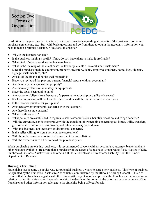

In addition to the previous list, it is important to ask questions regarding all aspects of the business prior to any purchase agreements, etc. Start with basic questions and go from there to obtain the necessary information you need to make a rational decision. Questions to consider:

- Why is the business for sale?
- Is the business making a profit? If not, do you have plans to make it profitable?
- What kind of reputation does the business have?
- What is the makeup of the client base? A few large clients or several small customers?
- Does the purchase include equipment, property, inventory, debts, employee contracts, name, logo, slogans, signage, customer files, etc?
- Are all of the financial books well maintained?
- Have you reviewed the past and current financial reports with an accountant?
- Are there any liens against the property?
- Are there any claims on inventory or equipment?
- Have the taxes been paid to date?
- Are customers/clients loyal because of a personal relationship or quality of service?
- If a lease is present, will the lease be transferred or will the owner require a new lease?
- Is the location suitable for your plans?
- Are there any environmental concerns with the location?
- Are there licensing concerns?
- What liabilities exist?
- What policies are established in regards to salaries/commissions, benefits, vacation and fringe benefits?
- Will the current owner be cooperative with the transition of ownership concerning tax issues, utility transfers, government requirements, employees, and other necessary procedures?
- With this business, are there any environmental concerns?
- Is the seller willing to sign a non-compete agreement?
- Will the seller agree to a contractual agreement for consultation?
- Will the owner finance all or some of the purchase price?

When purchasing an existing business, it is recommended to work with an accountant, attorney, banker and any other resource available. Be aware that a purchaser of the assets of a business is required to file a "Notice of Sale/ Purchase of Business Assets" form and obtain a Bulk Sales Release of Transferee Liability from the Illinois Department of Revenue.

#### **Buying a franchise**

Franchising has become a popular way for potential business owners to start a new business. This type of business is regulated by the Franchise Disclosure Act, which is administered by the Illinois Attorney General. This Act requires that the franchiser register with the Illinois Attorney General and provide the franchisee all information in relation to their franchisor-franchisee relationship, the details of the contract, the prior business experience of the franchiser and other information relevant to the franchise being offered for sale.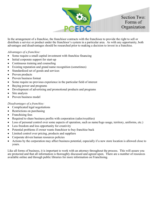

In the arrangement of a franchise, the franchisor contracts with the franchisee to provide the right to sell or distribute a service or product under the franchisor's system in a particular area. As with any opportunity, both advantages and disadvantages should be researched prior to making a decision to invest in a franchise.

#### *Advantages of a franchise:*

- Some require a small capital investment with franchise financing
- Initial corporate support for start-up
- Continuous training and counseling
- Existing reputation and grand name recognition (sometimes)
- Standardized set of goods and services
- Proven products
- Proven business format
- Some require no previous experience in the particular field of interest
- Buying power and programs
- Development of advertising and promotional products and programs
- Site analysis
- Proven business model

#### *Disadvantages of a franchise:*

- Complicated legal negotiations
- Restrictions on purchasing
- Franchising fees
- Required to share business profits with corporation (sales/royalties)
- Loss of personal control over some aspects of operation, such as name/logo usage, territory, uniforms, etc.)
- Less freedom and less opportunity for creativity
- Potential problems if owner wants franchisor to buy franchise back
- Limited control over pricing, products and suppliers
- Corporate driven human resources policies
- Actions by the corporation may affect business potential, especially if a new store location is allowed close to yours.

Like all forms of business, it is important to work with an attorney throughout the process. This will assure you are protected and that all information is thoroughly discussed and agreed upon. There are a number of resources available online and through public libraries for more information on Franchising.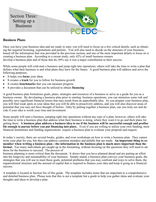

## **Business Plans**

Once you have your business idea and are ready to start, you will need to focus on a few critical details, such as obtaining the required licensing, registrations and permits. You will also need to decide on the structure of your business, based off the information that was provided in the previous section, and one of the most important details to focus on is creating a business plan. According to a recent study, only 42% of small business owners develop a business plan and of those that do, 69% say it was a major contribution to their success.

While some people will cold-start a business and jump right into operations, others will take the time to write a plan that defines what their business is and what plans they have for the future. A good business plan will address and serve the following purposes:

- It helps you **focus** your ideas
- It creates a **track** for you to follow for business growth
- It creates **benchmarks** that you can measure progress
- It provides a document that can be utilized to obtain **financing**

A good business plan formulizes goals, plans, strategies and resources of a business to serve as a guide for you as a business owner. By developing a business plan prior to starting business operations, you can minimize some risk and possibly save significant financial losses that may result from an unprofitable idea. As you prepare your business plan, you will find weak spots in your ideas that you will be able to proactively address, and you will also discover areas of potential that you may not have thought of before. Only by putting together a business plan, can you truly see and decide if your idea is worth your time and investment.

Some people will start a business, jumping right into operations without any type of a plan; however, others will take the time to write a business plan that address what their business is doing, where they want it to go and their plans for getting there. **A business plan address a business idea to see if the business will be successful enough and profitable enough to pursue before you put financing into place.** Even if you are willing to utilize your own funding, most financial institutions and funding organizations require a business plan to evaluate your proposal and request.

In today's society, there are several books, guides, and even workshops on how to write a business plan. They cannot write your plan for you, but they can address common mistakes and pitfalls that are made. **An important thing to remember when writing a business plan—the information in the business plan is much more important than the format.** Too many individuals get caught up in the formatting, without focusing on the questions they will need to address for the business to succeed. The process of

business planning is more critical than the document. It shows that you have planned ahead and are putting an effort into the longevity and sustainability of your business. Simply stated, a business plan conveys your business goals, the strategies that you will use to meet those goals, potential problems that you may confront and ways to solve them, the organizational structure and the amount of capital that is required to finance your idea and keep it going as a financial success.

A template is located in Section Six of this guide. The template includes items that are important to a comprehensive and detailed business plan. Please note that this is not a template but a guide to help you gather ideas and evaluate your thoughts and ideas to develop a plan.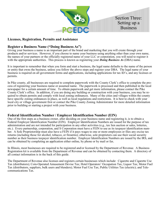

## **Licenses, Registration, Permits and Assistance**

## **Register a Business Name ("Doing Business As")**

Giving your business a name is an important part of the brand and marketing that you will create through your products and/or services. However, if you choose to name your business using anything other than your own name, the names of your partners or the officially registered name of your LLC or corporation, you will need to register it with the appropriate authorities. This process is known as registering your *Doing Business As* (DBA) name.

It is important to remember that when you form and start a business, the legal name defaults to the name of the person or entity that owns the business, unless you follow the above steps and register your DBA. The legal name of your business is required on all government forms and applications, including applications for tax ID's, and any licenses or permits.

In Pike county, all businesses are required to complete paperwork with the County Clerk's office to complete the process of registering your business name or assumed name. The paperwork is processed and then published in the local newspaper for a certain amount of time. To obtain paperwork and get more information, please contact the Pike County Clerk's office. In addition, if you are doing any building or construction with your business, you may be required to obtain permits and comply with local zoning ordinances. Many of the cities and villages within the county have specific zoning ordinances in place, as well as local regulations and restrictions. It is best to check with your local city or village government first or contact the Pike County Zoning Administrator for more detailed information prior to building or starting a project with your business.

## **Federal Identification Number / Employer Identification Number (EIN)**

One of the first steps as a business owner, after deciding on your business name and registering it, is to obtain a Federal Employer Identification Number (EIN). Employer Identification Numbers are issued for the purpose of tax administration and are not intended for participation in any other activities (e.g., tax lien auction or sales, lotteries, etc.). Every partnership, corporation, and S Corporation must have a FEIN to use as its taxpayer identification number. A Sole Proprietorship must also have a FEIN if it pays wages to one or more employees or files any excise tax returns (including those for alcohol, tobacco, or firearms); otherwise, sole proprietors can use their social security number as their business taxpayer identification number. Employer Identification Numbers are issued by the IRS, and can be obtained by completing an application either online, by phone or by mail or fax.

In Illinois, most businesses are required to be registered and/or licensed by the Department of Revenue. A Business Registration kit is available from the Department of Revenue and can be obtained by contacting them. A directory of all contact information is in the back of this guide.

The Department of Revenue also licenses and registers certain businesses which include: Cigarette and Cigarette Use Tax (distributors); Coin-Operated Amusement Devise Tax; Hotel Operators' Occupation Tax; Liquor Tax; Motor Fuel Tax (distributors, suppliers, bulk users and blenders); Motor Fuel Use Tax; Public Utilities Tax (electric); and Telecommunications Tax.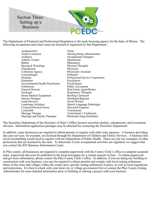

The Department of Financial and Professional Regulation is the main licensing agency for the State of Illinois. The following occupations and career areas are licensed or registered by that Department:

| Acupuncturist                            | Nurse                             |
|------------------------------------------|-----------------------------------|
| Alarm Contractor                         | Nursing Home Administrator        |
| Architect                                | Occupational Therapist            |
| Athletic Trainer                         | Optometrist                       |
| Barber                                   | Pharmacist                        |
| Boxing & Wrestling                       | Physical Therapist                |
| Chiropractor                             | Physician                         |
| <b>Collection Agency</b>                 | Physician's Assistant             |
| Cosmetologist                            | Podiatrist                        |
| Dietitian                                | Professional Service Corporation  |
| Embalmer                                 | Psychiatrist                      |
| <b>Environmental Health Practitioner</b> | Psychologist                      |
| Esthetician                              | Public Accountant                 |
| <b>Funeral Director</b>                  | Real Estate Agent/Broker          |
| Geologist                                | <b>Respiratory Therapist</b>      |
| Home Medical Equipment                   | Roofing Contractor                |
| Interior Designer                        | <b>Shorthand Reporter</b>         |
| Land Surveyor                            | Social Worker                     |
| Landscape Architect                      | Speech Language Pathologist       |
| <b>Licensed Practical Nurse</b>          | <b>Structural Engineer</b>        |
| Locksmith                                | Veterinarian                      |
| Massage Therapy                          | Veterinarian's Technician         |
| Marriage and Family Therapist            | <b>Wholesale Drug Distributor</b> |

The Securities Department of the Secretary of State's Office licenses securities dealers, salespersons, and investment advisors. Information application packages may be obtained by contacting the Securities Department.

In addition, many businesses are required to obtain permits or register with other state agencies. A business providing day-care services, for example, are licensed through the Department of Children and Family Services. A business that involved plumbing would need to register with the Department of Public Health. These are just two examples of other professions that are licensed by the state. To determine if your occupational activities are regulated, we suggest that you contact the IEN Business Information Center.

In Pike county, all businesses are required to complete paperwork with the County Clerk's office to complete assumed name paperwork that must be published in the local newspaper for a certain amount of time. To obtain paperwork and get more information, please contact the Pike County Clerk's office. In addition, if you are doing any building or construction with your business, you may be required to obtain permits and comply with local zoning ordinances. Many of the cities and villages within the county have specific zoning ordinances in place, as well as local regulations and restrictions. It is best to check with your local city or village government first or contact the Pike County Zoning Administrator for more detailed information prior to building or starting a project with your business.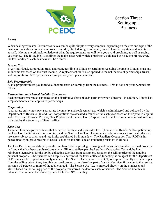

Section Three: Setting up a **Business** 

#### **Taxes**

When dealing with small businesses, taxes can be quite simple or very complex, depending on the size and type of the business. In addition to business taxes required by the federal government, you will have to pay state and local taxes as well. Having a working knowledge of what the requirements are will help you avoid problems, as well as saving you money. The following list outlines the major taxes with which a business would need to be aware of; however, the tax liability of each business will be different.

#### *Income Tax*

Every individual, corporation, trust, and estate residing in Illinois or earning or receiving income in Illinois, must pay an income tax based on their net income. A replacement tax is also applied to the net income of partnerships, trusts, and corporations. S Corporations are subject only to replacement tax.

#### *Sole Proprietorship*

A sole proprietor must pay individual income taxes on earnings from the business. This is done on your personal tax return.

#### *Partnerships and Limited Liability Companies*

Each partner/owner must pay taxes on the distributive share of each partners/owner's income. In addition, Illinois has a replacement tax that applies to partnerships.

#### *Corporation*

A corporate entity must pay a corporate income tax and replacement tax, which is administered and collected by the Department of Revenue. In addition, corporations are assessed a franchise tax each year based on their paid-in Capital and a Corporate Personal Property Tax Replacement Income Tax. Corporate and franchise taxes are administered and collected by the Secretary of State's office.

#### *Sales Tax*

There are four categories of taxes that comprise the state and local sales tax. These are the Retailer's Occupation tax, the Use Tax, the Service Occupation tax, and the Service Use Tax. The state also administers various local sales and use taxes subject to criteria and rate limits established by Illinois law. The Retailers Occupation Tax (ROT) is imposed directly on gross receipts of a retail seller for the privilege of conducting business in Illinois.

The **Use Tax** is imposed directly on the purchaser for the privilege of using and consuming tangible personal property in Illinois that has been purchased anywhere. Illinois retailers pay the Retailers' Occupation Tax and, by law, reimburse themselves for the tax by collecting Use Tax from customers, based on the selling price of the tangible personal property. The business can keep 1.75 percent of the taxes collected for acting as an agent for the Department of Revenue (if tax is paid in a timely manner). The Service Occupation Tax (SOT) is imposed directly on the receipts from the selling price of any tangible personal property transferred as part of a sale of service, if the cost to the service person is 35 percent or more of the total charged. The Service Use Tax is imposed directly on the purchaser and also is based on the selling price of the property transferred incident to a sale of service. The Service Use Tax is intended to reimburse the service person for his/her SOT liability.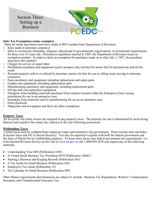

#### **Sales Tax Exemptions (some examples)**

Sales for resale (purchaser must have resale or ROT number from Department of Revenue)

- Sales made in interstate commerce
- $\sqrt{\ }$  Sales to exclusively charitable, religious, educational or governmental organizations, or recreational organizations for those over 55 years old. (Pursuant to legislation enacted in 1985, the Department of Revenue issues an exemption number. In order to claim an exemption for purchases made on or after July 1, 1987, the purchaser must have this number)
- $\sqrt{\phantom{a}}$  Charges for service or repair labor
- Distillation machinery and equipment used to produce ethyl alcohol for motor fuel for personal use and not for resale
- $\sqrt{\phantom{a}}$  Personal property sold to or utilized by interstate carriers for hire for use as rolling stock moving in interstate commerce
- $\sqrt{\ }$  Farm machinery and equipment including replacement and repair parts
- $\sqrt{\phantom{a}}$  Graphic arts equipment, including replacement parts
- $\sqrt{\ }$  Manufacturing machinery and equipment, including replacement parts
- $\sqrt{\phantom{a}}$  Oil rigs and coal exploration equipment
- $\sqrt{\phantom{a}}$  Enterprise Zone building materials purchased from retailers located within the Enterprise Zone's taxing jurisdiction for use in an enterprise zone
- $\sqrt{\frac{1}{1}}$  Enterprise Zone materials used in manufacturing for use in an enterprise zone
- $\sqrt{\phantom{a}}$  Farm chemicals
- $\sqrt{\phantom{a}}$  Magazines and newspapers and there are other exemptions.

#### **Property Taxes**

All for-profit real estate owners are required to pay property taxes. The property tax rate is determined by local taxing districts and is paid to the county tax collector in the year following assessment.

#### **Withholding Taxes**

Certain taxes must be withheld from employee wages and remitted to the government. These include state and federal income taxes and FICA (Social Security). You may be required to register with both the federal government and the State of Illinois for tax withholding purposes. To learn more about your federal government tax requirements, visit the Internal Revenue Service on the web at www.irs.gov or call 1-800-829-3676 and request any of the following materials:

- Understanding Your EIN (Publication 1635)
- A Virtual Small Business Tax Workshop DVD (Publication 1066C)
- Starting a Business and Keeping Records (Publication 583)
- A Tax Guide for Small Business (Publication 334)
- Employer's Tax Guide (Publication 15)
- Tax Calendar for Small Business (Publication 509)

Other Illinois requirements that businesses are subject to include: Business Tax Registration, Workers' Compensation Insurance, and Unemployment Insurance Tax.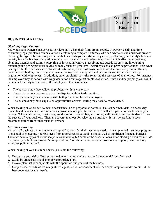

## **BUSINESS SERVICES**

#### *Obtaining Legal Counsel*

Many business owners consider legal services only when their firms are in trouble. However, costly and timeconsuming legal problems can be averted by retaining a competent attorney who can advise on such business areas as choosing the type of business organization that best suits your needs and objectives, protecting your family's financial security from the business risks advising you as to local, state and federal regulations which affect your business; obtaining licenses and permits; preparing or inspecting contracts; resolving tax questions; assisting in obtaining financing; and giving practical advice on many business problems. Attorneys also can provide professional help when dealing with other parties such as financial institutions, owners of possible store or plant locations, union officials, governmental bodies, franchising companies, contracts with suppliers and customers and insurance coverage negotiation with employees. In addition, other problems may arise requiring the services of an attorney. For instance, the employer may be served with wage deduction orders against employees which, if not handled properly, can result in personal liability on the part of the employer. Other examples:

- •
- The business may face collection problems with its customers
- The business may become involved in disputes with its trade creditors.
- The business may have disputes with both present and former employees.
- The business may have expansion opportunities or restructuring may need to reconsidered.
- •

When seeking an attorney's counsel or assistance, be as prepared as possible. Collect pertinent data, do necessary research and have as much information as possible about your business. This will save your attorney time and you money. When considering an attorney, use discretion. Remember, an attorney will provide services fundamental to the success of your business. There are several methods for selecting an attorney. It may be prudent to seek recommendations from other business owners.

#### *Insurance Coverage*

Many small business owners, upon start-up, fail to consider their insurance needs. A well planned insurance program is essential to protecting your business from unforeseen issues and losses, as well as significant financial burdens. There are several types of insurance policies available, but some of the essential ones when starting a business include fire, liability, vehicle and worker's compensation. You should also consider business interruption, crime and key employee policies as well.

When looking at your insurance needs, consider the following:

- 1. Recognize your risks. Recognize the dangers facing the business and the potential loss from each.
- 2. Study insurance costs and shop for appropriate plans.
- 3. Have a plan that is compatible with the operation and goals of the business.
- 4. Get professional advice from a qualified agent, broker or consultant who can explain options and recommend the best coverage for your needs.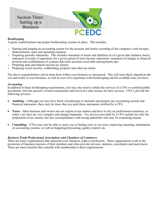

#### *Bookkeeping*

A good, sound business has proper bookkeeping systems in place. This includes:

- $\sqrt{\phantom{a}}$  Starting and keeping an accounting system for the accurate and timely recording of the company's cash receipts, disbursements, sales and operating expenses
- $\sqrt{\phantom{a}}$  Preparing periodic statements. This includes statement of assets and liabilities as of a given date (balance sheet), statement of results of operations for a given period of time (income statement), statement of changes in financial position and establishment of systems that track accounts receivable and payments due
- $\sqrt{\ }$  Preparing state and federal income tax returns
- $\sqrt{\ }$  Preparing social security, withholding, property and other tax return

The above responsibilities can be done from within your business or outsourced. This will most likely depend on the size and realm of your business, as well as your own experience with bookkeeping and the available time you have.

#### *Accounting*

In addition to basic bookkeeping requirements, you may also need to obtain the services of a CPA or certified public accountant, who has passed a written examination and received a state license for their services. CPA's provide the following services:

- **Auditing—**Although you may have hired a bookkeeper to maintain and prepare any accounting records and financial statements, there may be times that you need these statements certified by a CPA.
- **Taxes**—Most business and owners are not experts in tax matters and have to rely on professional assistance, as today's tax laws are very complex and change frequently. Tax services provided by a CPA include not only the preparation of tax returns, but also correspondence with taxing authorities who may be examining returns.
- **Consulting**—CPAs may also be able to assist you in finding ways to cut costs, improving reporting, information on accounting systems, as well as budgeting/forecasting, quality control, etc.

#### *Business/Trade/Professional Associations and Chambers of Commerce*

There are many organizations that represent every business, trade or profession. These organizations work in the promotion of business interests of their members and often provide services, statistics, newsletters and much more. There are many benefits that coincide with membership to these organizations.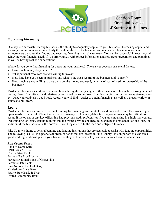

## **Obtaining Financing**

One key to a successful startup business is the ability to adequately capitalize your business. Increasing capital and securing funding is an ongoing activity throughout the life of a business, and many small business owners and entrepreneurs discover that finding and securing financing is not always easy. You can be successful in securing and achieving your financial needs if you arm yourself with proper information and resources, preparation and planning, as well as having realistic expectations.

Where do you go to find financing for operating your business? The answer depends on several factors:

- How much money do you need?
- What personal resources are you willing to invest?
- How long have you been in business and what is the track record of the business and yourself?
- How much are you willing to give up to get the money you need, in terms of cost of credit or ownership of the business?

Most small businesses start with personal funds during the early stages of their business. This includes using personal savings, loans from friends and relatives or contained consumer loans from lending institutions to use as start-up money. Once you establish a good track record, you will find it easier to obtain financing , as well as a greater variety of sources to pull from.

#### **Loans**

Most small businesses prefer to use debt funding for financing, as it costs less and does not require the owner to give up ownership or control of how the business is managed. However, debut funding sometimes may be difficult to secure if the owner or any key officer has had previous credit problems or if you are embarking in a high-risk venture. Debt funding, or loans, usually requires that the owner provide collateral to guarantee the repayment of the loan. In addition, if the business fails, the borrower is still legally tied to the loan and obligated to repay.

Pike County is home to several banking and lending institutions that are available to assist with funding opportunities. The following is a list, in alphabetical order, of banks that are located in Pike County. It is important to establish a good working relationship with your banker, as they will become a key resource in your business operations.

#### *Pike County Banks*

Bank of Kampsville-CNB Bank & Trust Central State Bank Farmers Bank of Liberty Farmers National Bank of Griggsville Farmers State Bank First National Bank of Barry Kinderhook State Bank Prairie State Bank & Trust United Community Bank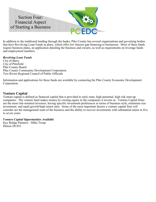

In addition to the traditional lending through the banks, Pike County has several organizations and governing bodies that have Revolving Loan Funds in place, which offer low interest gap financing to businesses. Most of these funds require business plans, an application detailing the business and owners, as well as requirements on leverage funds and employment numbers.

#### *Revolving Loan Funds*

City of Barry City of Pittsfield Pike County Board Pike County Community Development Corporation Two Rivers Regional Council of Public Officials

Information and applications for these funds are available by contacting the Pike County Economic Development Corporation.

## **Venture Capital**

Venture capital is defined as financial capital that is provided to early-state, high-potential, high risk start-up companies. The venture fund makes money by owning equity in the companies it invests in. Venture Capital firms are the most risk-oriented investors, having specific investment preferences in terms of business style, minimum size investment, and rapid growth/high return ratio. Some of the most important factors a venture capital firm will consider are the management team of the business and the ability to recover investments with substantial return in five to seven years.

#### *Venture Capital Opportunities Available*

Key Bridge Partners—Mike Troup Illinois DCEO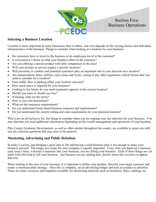

## **Selecting a Business Location**

Location is more important to some businesses than to others, and a lot depends on the varying factors and individual characteristics of the business. Things to consider when looking at a location for your business:

- Do customers have to travel to the business or do employees travel to the customer?
- Is convenience a factor in what your business offers to the customer?
- Are you offering a special product with little competition in the area?
- Will your product or service require a specific location?
- Will proximity to vendors and potential customers play an important role in your decision on a location?
- Are transportation, labor, utilities, taxes (state and local), zoning or any other regulations critical factors that you need to consider for a location?
- Does traffic flow or parking affect your location selection?
- How much space is required for your business?
- Looking to the future, do you need expansion capacity in the current location?
- Should you lease or should you buy?
- If leasing, what are the terms?
- How is your rent determined?
- What are the insurance requirements?
- Do you understand home-based business expenses and requirements?
- Do you understand the current zoning and code requirements for your potential location?

This is not an all-inclusive list, but things to consider when you are making your site selection for your business. You may find that you need additional information depending on the overall management and operations of your business.

Pike County Economic Development, as well as other entities throughout the county, are available to assist you with any site selection questions that may arise in the process.

## **Marketing, Advertising and Public Relations**

In today's society, just bringing a great idea to life and having a solid business plan is not enough to make your business succeed. The image you create for your company is equally important. Every time you hand out a business card, send a letter, welcome a customer into your business, you are selling your business. Each of these things are valuable tools that help to sell your business. Just because you are starting new, doesn't mean that you have to appear that way.

When looking at this area of your business, it is important to define your product, describe your target customer and create a communication strategy. Once this is complete, set an advertising budget and look at avenues to advertise. There are many resources and templates available for advertising materials such as brochures, fliers, catalogs, etc.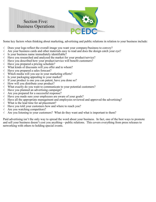

Some key factors when thinking about marketing, advertising and public relations in relation to your business include:

- $\sqrt{\phantom{a}}$  Does your logo reflect the overall image you want your company/business to convey?
- $\sqrt{\phantom{a}}$  Are your business cards and other materials easy to read and does the design catch your eye?
- $\sqrt{ }$  Is your business name immediately identifiable?
- $\sqrt{\phantom{a}}$  Have you researched and analyzed the market for your product/service?
- $\sqrt{\phantom{a}}$  Have you described how your product/service will benefit customers?
- $\sqrt{\phantom{a}}$  Have you prepared a pricing schedule?
- $\sqrt{\phantom{a}}$  What kinds of discounts will you offer and to whom?
- $\sqrt{\phantom{a}}$  Have you prepared a sales forecast?
- $\sqrt{\phantom{a}}$  Which media will you use in your marketing efforts?
- $\sqrt{ }$  Is your packaging appealing to your market?
- $\sqrt{ }$  If your product is one you can patent, have you done so?
- $\sqrt{ }$  How will you distribute your product?
- $\sqrt{\phantom{a}}$  What exactly do you want to communicate to your potential customers?
- $\sqrt{\phantom{a}}$  Have you planned an advertising campaign?
- $\sqrt{\phantom{a}}$  Are you prepared for a successful response?
- $\sqrt{\phantom{a}}$  Have you made sure your employees are aware of your goals?
- $\sqrt{\phantom{a}}$  Have all the appropriate management and employees reviewed and approved the advertising?
- $\sqrt{\phantom{a}}$  What is the lead time for ad placement?
- $\sqrt{\phantom{a}}$  Have you told your customers how and where to reach you?
- $\sqrt{\phantom{a}}$  Are you watching competitors?
- $\sqrt{\phantom{a}}$  Are you listening to your customers? What do they want and what is important to them?

Paid advertising isn't the only way to spread the word about your business. In fact, one of the best ways to promote and sell your business doesn't cost you anything—public relations. This covers everything from press releases to networking with others to holding special events.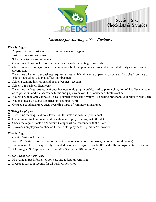

# *Checklist for Starting a New Business*

#### *First 30 Days:*

- □ Prepare a written business plan, including a marketing plan
- ❑ Estimate your start-up costs
- ❑ Select an attorney and accountant
- $\Box$  Obtain local business licenses through the city and/or county governments
- $\Box$  Check on local zoning ordinances, regulations, building permits and fire codes through the city and/or county government
- □ Determine whether your business requires a state or federal license or permit to operate. Also check on state or federal regulations that may affect your business.
- ❑ Select a banking institution and open a business account.
- ❑ Select your business fiscal year
- $\Box$  Determine the legal structure of your business (sole proprietorship, limited partnership, limited liability company, or corporation) and file necessary forms and paperwork with the Secretary of State's office.
- ❑ You will need to apply for a Sales Tax Number or use tax if you will be selling merchandise at retail or wholesale
- ❑ You may need a Federal Identification Number (EIN)
- □ Contact a good insurance agent regarding types of commercial insurance

#### *If Hiring Employees:*

- □ Determine the wage and hour laws from the state and federal government
- $\Box$  Obtain report to determine liability status (unemployment tax) with the state
- □ Check the requirements on Worker's Compensation Insurance with the State
- $\Box$  Have each employee complete an I-9 form (Employment Eligibility Verification)

## *First 60 Days:*

- ❑ Obtain Business Insurance
- □ Join a Professional Association or Organization (Chamber of Commerce, Economic Development)
- □ You may need to make quarterly estimated income tax payments to the IRS and self-employment tax payments
- $\Box$  If forming an S Corporation, ile Form #2553 with the IRS within 75 days

#### *By the End of the First Year:*

- ❑ File Annual Tax information for state and federal government
- $\Box$  Keep a good set of records for all business activities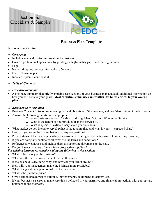

# **Business Plan Template**

### **Business Plan Outline**

- *Cover page*
- Include name and contact information for business
- Create a professional appearance by printing on high-quality paper and placing in binder
- Logo
- Names, titles and contact information of owners
- Date of business plan
- Indicate if plan is confidential

#### *Table of Contents*

- *Executive Summary*
- A one-page summary that briefly explains each sections of your business plan and adds additional information on how you will achieve your goals. **Most executive summaries are written last but is critical to your overall plan.**

#### *Background Information*

- Business Concept (mission statement, goals and objectives of the business, and brief description of the business)
- Answer the following questions as appropriate:
	- ❑ What business are you in? (Merchandising, Manufacturing, Wholesale, Service)
	- $\Box$  What is the nature of your product(s) and/or service(s)?
	- ❑ What is special or extraordinary about your business?
- What market do you intend to serve? (what is the total market, and what is your expected share)
- How can you serve the market better than any competition?
- Present status of the business (start-up, expansion of existing business, takeover of an existing business)
- If you are doing any contract work what are the terms and conditions?
- Reference any contracts and include them as supporting documents to the plan.

#### • Do you have any letters of intent from prospective suppliers?

- *For existing businesses, consider adding the following to this section:*
- What is the history of the business?
- Why does the current owner wish to sell at this time?
- If the business is declining, why, and how can you turn it around?
- How will your management make the business more profitable?
- What changes do you plan to make to the business?
- What is the purchase price?
- Give detailed breakdown of building, improvements, equipment, inventory, etc.
- If your business is seasonal, make sure this is reflected in your narrative and financial projections with appropriate notations in the footnotes.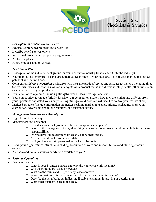#### *Description of products and/or services*

- Features of proposed products and/or services
- Describe benefits to customers
- Intellectual property and proprietary rights issues
- Production plans
- Future products and/or services

#### *The Market Plan*

- Description of the industry (background, current and future industry trends, and fit into the industry)
- Your market (customer profiles and target market, description of your trade area, size of your market, the market potential and market trends)

Section Six: Checklists & Samples

- Competition *(direct competition-*businesses with the same product/service and same target market, including three to five businesses and locations; *indirect competition-*a product that is in a different category altogether but is seen as an alternative to your product)
- Evaluation of competition, including strengths, weaknesses, size, age, and status
- Your competitive advantage (briefly describe your competition and tell how they are similar and different from your operations and detail your unique selling strategies and how you will use it to control your market share)
- Market Strategies (Include information on market position, marketing tactics, pricing, packaging, promotion, distribution, advertising and public relations, and customer service)

#### *Management Structure and Organization*

- Legal form of ownership
- Management and personnel
	- ❑ How does your background and business experience help you?
	- ❑ Describe the management team, identifying their strengths/weaknesses, along with their duties and responsibilities
	- ❑ Do you have job descriptions tat clearly define their duties?
	- ❑ Are there additional resources available?
	- ❑ Will you have to train personnel and what is the cost?
- Detail your organizational structure, including description of roles and responsibilities and utilizing charts if necessary
- Are there additional resources or advisors available to you?

#### *Business Operations*

- Business location
	- ❑ What is your business address and why did you choose this location?
	- ❑ Will the building be leased or owned?
	- ❑ What are the terms and length of any lease contract?
	- ❑ What renovations or improvements will be needed and what is the cost?
	- ❑ Describe the neighborhood, indicating if stable, changing, improving or deteriorating
	- ❑ What other businesses are in the area?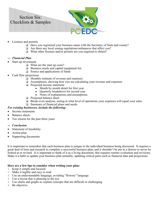

- Licenses and permits
	- ❑ Have you registered your business name with the Secretary of State and county?
	- ❑ Are there any local zoning regulations/ordinances that affect you?
	- ❑ What other licenses and/or permits are you required to obtain?

#### *Financial Plan*

- Start-up investment
	- ❑ What are the start up costs?
	- ❑ Business needs and capital equipment list
	- ❑ Source and applications of funds
- Cash flow projections
	- ❑ Monthly estimate of revenue and expenses
	- ❑ Assumptions, showing how you are calculating your revenue and expenses
	- ❑ Projected income statement
		- Month by month detail for first year
		- Ouarterly breakdown for second year
		- Notes of explanations and assumptions
	- ❑ Projected balance sheet
	- ❑ Break-even analysis, noting at what level of operations your expenses will equal your sales.
	- ❑ Summary of financial plans and needs

#### *For existing businesses, include the following:*

- Income statements
- Balance sheets
- Tax returns for the past three years

#### *Conclusion*

- Statement of feasibility
- Action plan
- Supporting documents

It is important to remember that each business plan is unique to the individual business being discussed. It requires a great deal of time and research to complete a successful business plan, and it shouldn't be put in a drawer to never be looked at or revised. It is important to think of it as a living document, that requires routine evaluation and revisions. Make it a habit to update your business plan annually, updating critical parts such as financial data and projections.

#### **Here are a few tips to consider when writing your plan:**

- $\sqrt{\phantom{a}}$  Keep it simple and focused
- $\sqrt{\phantom{a}}$  Make it legible and easy to read
- $\sqrt{\phantom{a}}$  Use an understandable language, avoiding "flowery" language
- $\sqrt{\phantom{a}}$  Use a layout that is pleasing to the eye  $\sqrt{\phantom{a}}$  Use charts and graphs to explain conce
- Use charts and graphs to explain concepts that are difficult or challenging
- $\sqrt{\phantom{a}}$  Be objective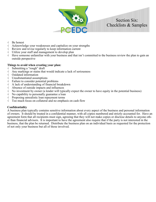

- Be honest
- Acknowledge your weaknesses and capitalize on your strengths
- $\sqrt{\phantom{a}}$  Review and revise regularly to keep information current
- $\sqrt{\phantom{a}}$  Utilize your staff and management to develop plan
- $\sqrt{\phantom{a}}$  Have someone unfamiliar with your business and that isn't committed to the business review the plan to gain an outside perspective

#### **Things to avoid when creating your plan:**

- $\sqrt{\phantom{a}}$  Submitting a "rough" draft<br> $\sqrt{\phantom{a}}$  Any markings or stains that
- Any markings or stains that would indicate a lack of seriousness
- $\sqrt{\phantom{a}}$  Outdated information<br> $\sqrt{\phantom{a}}$  Unsubstantiated assur
- Unsubstantiated assumptions
- $\sqrt{\phantom{a}}$  Failure to consider potential problems
- $\sqrt{ }$  A lack of understanding of financial breakdown
- $\sqrt{\phantom{a}}$  Absence of outside impacts and influences
- $\sqrt{\phantom{a}}$  No investment by owner (a lender will typically expect the owner to have equity in the potential business)
- $\sqrt{\phantom{a}}$  No capability to personally guarantee a loan
- $\sqrt{\ }$  Proposing unrealistic loan repayment terms
- $\sqrt{\phantom{a}}$  Too much focus on collateral and no emphasis on cash flow

#### **Confidentiality**

A business plan typically contains sensitive information about every aspect of the business and personal information of owners. It should be treated in a confidential manner, with all copies numbered and strictly accounted for. Have an agreement form that all recipients must sign, agreeing that they will not make copies or disclose details to anyone other than financial advisors. It is important to have the agreement also require that if the party is not interested in the business, that the plan be returned. Distribute the business plan on an individual basis as requested for the protection of not only your business but all of those involved.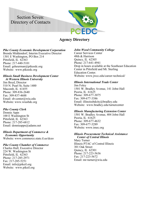

## **Agency Directory**

#### *Pike County Economic Development Corporation*

Brenda Middendorf, Interim Executive Director 1301 E Washington, PO Box 214 Pittsfield, IL 62363 Phone: 217-440-5101 Email: gsheurman@pikeedc.org Website: www.pikeedc.org

#### *Illinois Small Business Development Center*

 *At Western Illinois University* Jim Boyd, Director 510 N. Pearl St, Suite 1400 Macomb, IL 61455 Phone: 309-836-2640 Fax: 309-837-4688 Email: sb-center@wiu.edu Website: www.wiusbdc.org

#### *Pike County Clerk*

Donnie Apps 100 E Washington St Pittsfield, IL 62363 Phone: 217-285-6812 Email: donnieapps@adams.net

#### *Illinois Department of Commerce & Economic Opportunity* Website: www.commerce.state.il.us/dceo

#### *Pike County Chamber of Commerce*

Charles Hull, Executive Director 224 W. Washington St Pittsfield, IL 62363 Phone: 217-285-2971 Fax: 217-285-5251 Email: info@pikeil.org Website: www.pikeil.org

#### *John Wood Community College*

Career Services Center 48th & Harrison Quincy, IL 62305 Phone: 217-641-4941 Drop in hours available at the Southeast Education Center in Pittsfield and Mt. Sterling Education Center. Website: www.jwcc.edu/career-technical/

#### *Illinois International Trade Center*

Jim Foley 1501 W. Bradley Avenue, 141 Jobst Hall Peoria, IL 61625 Phone: 309-677-3075 Fax: 309-677-3386 Email: illinoissbdcitc@bradley.edu Website: www.bradley.edu/turnercenter

#### *Illinois Manufacturing Extension Center*

1501 W. Bradley Avenue, 404 Jobst Hall Peoria, IL 61625 Phone: 309-677-4632 Fax: 309-677-3289 Website: www.imec.org

#### *Illinois Procurement Technical Assistance Center of Central Illinois*

Mary Turner Illinois PTAC of Central Illinois 301 Oak Street Quincy, IL 62301 Phone: 217-223-5636 Fax: 217-223-5672 Email: mr-turner@wiu.edu